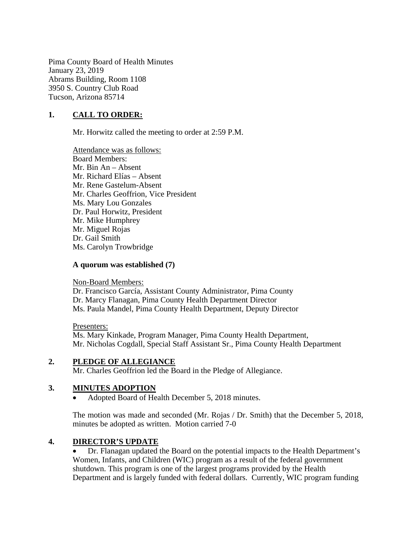Pima County Board of Health Minutes January 23, 2019 Abrams Building, Room 1108 3950 S. Country Club Road Tucson, Arizona 85714

### **1. CALL TO ORDER:**

Mr. Horwitz called the meeting to order at 2:59 P.M.

Attendance was as follows: Board Members: Mr. Bin An – Absent Mr. Richard Elías – Absent Mr. Rene Gastelum-Absent Mr. Charles Geoffrion, Vice President Ms. Mary Lou Gonzales Dr. Paul Horwitz, President Mr. Mike Humphrey Mr. Miguel Rojas Dr. Gail Smith Ms. Carolyn Trowbridge

#### **A quorum was established (7)**

Non-Board Members:

Dr. Francisco García, Assistant County Administrator, Pima County Dr. Marcy Flanagan, Pima County Health Department Director Ms. Paula Mandel, Pima County Health Department, Deputy Director

Presenters: Ms. Mary Kinkade, Program Manager, Pima County Health Department, Mr. Nicholas Cogdall, Special Staff Assistant Sr., Pima County Health Department

#### **2. PLEDGE OF ALLEGIANCE**

Mr. Charles Geoffrion led the Board in the Pledge of Allegiance.

#### **3. MINUTES ADOPTION**

• Adopted Board of Health December 5, 2018 minutes.

The motion was made and seconded (Mr. Rojas / Dr. Smith) that the December 5, 2018, minutes be adopted as written. Motion carried 7-0

#### **4. DIRECTOR'S UPDATE**

• Dr. Flanagan updated the Board on the potential impacts to the Health Department's Women, Infants, and Children (WIC) program as a result of the federal government shutdown. This program is one of the largest programs provided by the Health Department and is largely funded with federal dollars. Currently, WIC program funding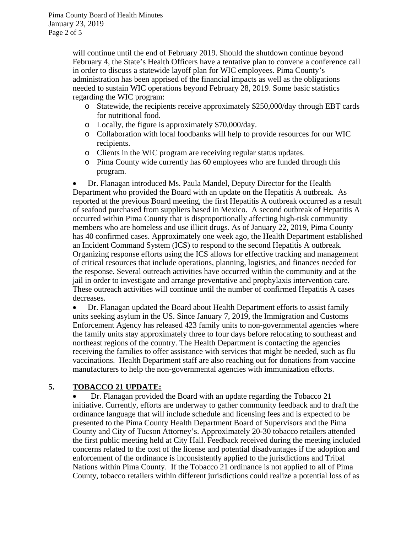Pima County Board of Health Minutes January 23, 2019 Page 2 of 5

> will continue until the end of February 2019. Should the shutdown continue beyond February 4, the State's Health Officers have a tentative plan to convene a conference call in order to discuss a statewide layoff plan for WIC employees. Pima County's administration has been apprised of the financial impacts as well as the obligations needed to sustain WIC operations beyond February 28, 2019. Some basic statistics regarding the WIC program:

- o Statewide, the recipients receive approximately \$250,000/day through EBT cards for nutritional food.
- o Locally, the figure is approximately \$70,000/day.
- o Collaboration with local foodbanks will help to provide resources for our WIC recipients.
- o Clients in the WIC program are receiving regular status updates.
- o Pima County wide currently has 60 employees who are funded through this program.

• Dr. Flanagan introduced Ms. Paula Mandel, Deputy Director for the Health Department who provided the Board with an update on the Hepatitis A outbreak. As reported at the previous Board meeting, the first Hepatitis A outbreak occurred as a result of seafood purchased from suppliers based in Mexico. A second outbreak of Hepatitis A occurred within Pima County that is disproportionally affecting high-risk community members who are homeless and use illicit drugs. As of January 22, 2019, Pima County has 40 confirmed cases. Approximately one week ago, the Health Department established an Incident Command System (ICS) to respond to the second Hepatitis A outbreak. Organizing response efforts using the ICS allows for effective tracking and management of critical resources that include operations, planning, logistics, and finances needed for the response. Several outreach activities have occurred within the community and at the jail in order to investigate and arrange preventative and prophylaxis intervention care. These outreach activities will continue until the number of confirmed Hepatitis A cases decreases.

• Dr. Flanagan updated the Board about Health Department efforts to assist family units seeking asylum in the US. Since January 7, 2019, the Immigration and Customs Enforcement Agency has released 423 family units to non-governmental agencies where the family units stay approximately three to four days before relocating to southeast and northeast regions of the country. The Health Department is contacting the agencies receiving the families to offer assistance with services that might be needed, such as flu vaccinations. Health Department staff are also reaching out for donations from vaccine manufacturers to help the non-governmental agencies with immunization efforts.

## **5. TOBACCO 21 UPDATE:**

• Dr. Flanagan provided the Board with an update regarding the Tobacco 21 initiative. Currently, efforts are underway to gather community feedback and to draft the ordinance language that will include schedule and licensing fees and is expected to be presented to the Pima County Health Department Board of Supervisors and the Pima County and City of Tucson Attorney's. Approximately 20-30 tobacco retailers attended the first public meeting held at City Hall. Feedback received during the meeting included concerns related to the cost of the license and potential disadvantages if the adoption and enforcement of the ordinance is inconsistently applied to the jurisdictions and Tribal Nations within Pima County. If the Tobacco 21 ordinance is not applied to all of Pima County, tobacco retailers within different jurisdictions could realize a potential loss of as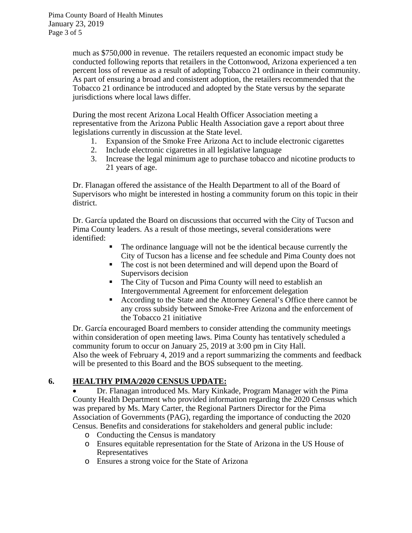much as \$750,000 in revenue. The retailers requested an economic impact study be conducted following reports that retailers in the Cottonwood, Arizona experienced a ten percent loss of revenue as a result of adopting Tobacco 21 ordinance in their community. As part of ensuring a broad and consistent adoption, the retailers recommended that the Tobacco 21 ordinance be introduced and adopted by the State versus by the separate jurisdictions where local laws differ.

During the most recent Arizona Local Health Officer Association meeting a representative from the Arizona Public Health Association gave a report about three legislations currently in discussion at the State level.

- 1. Expansion of the Smoke Free Arizona Act to include electronic cigarettes
- 2. Include electronic cigarettes in all legislative language
- 3. Increase the legal minimum age to purchase tobacco and nicotine products to 21 years of age.

Dr. Flanagan offered the assistance of the Health Department to all of the Board of Supervisors who might be interested in hosting a community forum on this topic in their district.

Dr. García updated the Board on discussions that occurred with the City of Tucson and Pima County leaders. As a result of those meetings, several considerations were identified:

- The ordinance language will not be the identical because currently the City of Tucson has a license and fee schedule and Pima County does not
- The cost is not been determined and will depend upon the Board of Supervisors decision
- The City of Tucson and Pima County will need to establish an Intergovernmental Agreement for enforcement delegation
- According to the State and the Attorney General's Office there cannot be any cross subsidy between Smoke-Free Arizona and the enforcement of the Tobacco 21 initiative

Dr. García encouraged Board members to consider attending the community meetings within consideration of open meeting laws. Pima County has tentatively scheduled a community forum to occur on January 25, 2019 at 3:00 pm in City Hall. Also the week of February 4, 2019 and a report summarizing the comments and feedback will be presented to this Board and the BOS subsequent to the meeting.

## **6. HEALTHY PIMA/2020 CENSUS UPDATE:**

• Dr. Flanagan introduced Ms. Mary Kinkade, Program Manager with the Pima County Health Department who provided information regarding the 2020 Census which was prepared by Ms. Mary Carter, the Regional Partners Director for the Pima Association of Governments (PAG), regarding the importance of conducting the 2020 Census. Benefits and considerations for stakeholders and general public include:

- o Conducting the Census is mandatory
- o Ensures equitable representation for the State of Arizona in the US House of Representatives
- o Ensures a strong voice for the State of Arizona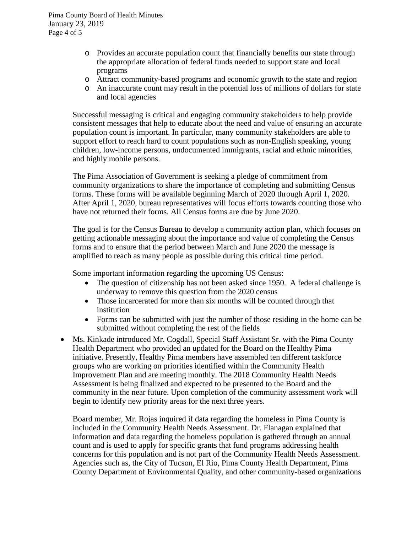- o Provides an accurate population count that financially benefits our state through the appropriate allocation of federal funds needed to support state and local programs
- o Attract community-based programs and economic growth to the state and region
- o An inaccurate count may result in the potential loss of millions of dollars for state and local agencies

Successful messaging is critical and engaging community stakeholders to help provide consistent messages that help to educate about the need and value of ensuring an accurate population count is important. In particular, many community stakeholders are able to support effort to reach hard to count populations such as non-English speaking, young children, low-income persons, undocumented immigrants, racial and ethnic minorities, and highly mobile persons.

The Pima Association of Government is seeking a pledge of commitment from community organizations to share the importance of completing and submitting Census forms. These forms will be available beginning March of 2020 through April 1, 2020. After April 1, 2020, bureau representatives will focus efforts towards counting those who have not returned their forms. All Census forms are due by June 2020.

The goal is for the Census Bureau to develop a community action plan, which focuses on getting actionable messaging about the importance and value of completing the Census forms and to ensure that the period between March and June 2020 the message is amplified to reach as many people as possible during this critical time period.

Some important information regarding the upcoming US Census:

- The question of citizenship has not been asked since 1950. A federal challenge is underway to remove this question from the 2020 census
- Those incarcerated for more than six months will be counted through that institution
- Forms can be submitted with just the number of those residing in the home can be submitted without completing the rest of the fields
- Ms. Kinkade introduced Mr. Cogdall, Special Staff Assistant Sr. with the Pima County Health Department who provided an updated for the Board on the Healthy Pima initiative. Presently, Healthy Pima members have assembled ten different taskforce groups who are working on priorities identified within the Community Health Improvement Plan and are meeting monthly. The 2018 Community Health Needs Assessment is being finalized and expected to be presented to the Board and the community in the near future. Upon completion of the community assessment work will begin to identify new priority areas for the next three years.

Board member, Mr. Rojas inquired if data regarding the homeless in Pima County is included in the Community Health Needs Assessment. Dr. Flanagan explained that information and data regarding the homeless population is gathered through an annual count and is used to apply for specific grants that fund programs addressing health concerns for this population and is not part of the Community Health Needs Assessment. Agencies such as, the City of Tucson, El Rio, Pima County Health Department, Pima County Department of Environmental Quality, and other community-based organizations